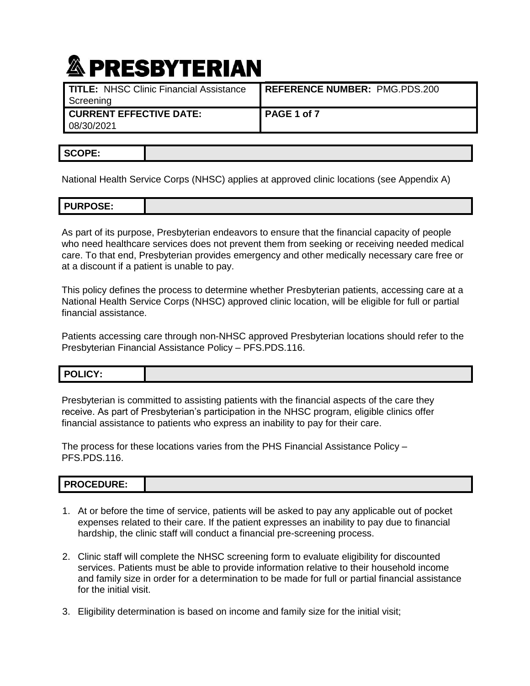| TITLE: NHSC Clinic Financial Assistance | REFERENCE NUMBER: PMG.PDS.200 |  |
|-----------------------------------------|-------------------------------|--|
| Screening                               |                               |  |
| <b>CURRENT EFFECTIVE DATE:</b>          | PAGE 1 of 7                   |  |
| 08/30/2021                              |                               |  |

National Health Service Corps (NHSC) applies at approved clinic locations (see Appendix A)

As part of its purpose, Presbyterian endeavors to ensure that the financial capacity of people who need healthcare services does not prevent them from seeking or receiving needed medical care. To that end, Presbyterian provides emergency and other medically necessary care free or at a discount if a patient is unable to pay.

This policy defines the process to determine whether Presbyterian patients, accessing care at a National Health Service Corps (NHSC) approved clinic location, will be eligible for full or partial financial assistance.

Patients accessing care through non-NHSC approved Presbyterian locations should refer to the Presbyterian Financial Assistance Policy – [PFS.PDS.116.](http://pel.phs.org/cs/groups/policyadministration/documents/policy/pel_00074767.pdf)

| DOLICY-<br>LIGY: |  |
|------------------|--|
|                  |  |

Presbyterian is committed to assisting patients with the financial aspects of the care they receive. As part of Presbyterian's participation in the NHSC program, eligible clinics offer financial assistance to patients who express an inability to pay for their care.

The process for these locations varies from the PHS Financial Assistance Policy – [PFS.PDS.116.](http://pel.phs.org/cs/groups/policyadministration/documents/policy/pel_00074767.pdf)

| DDOCEDUDE.<br>.ULEDURE: |  |
|-------------------------|--|
|                         |  |

- 1. At or before the time of service, patients will be asked to pay any applicable out of pocket expenses related to their care. If the patient expresses an inability to pay due to financial hardship, the clinic staff will conduct a financial pre-screening process.
- 2. Clinic staff will complete the NHSC screening form to evaluate eligibility for discounted services. Patients must be able to provide information relative to their household income and family size in order for a determination to be made for full or partial financial assistance for the initial visit.
- 3. Eligibility determination is based on income and family size for the initial visit;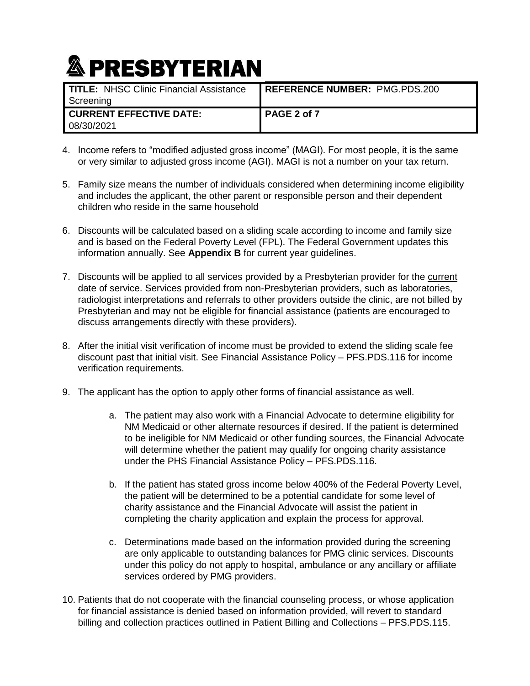| TITLE: NHSC Clinic Financial Assistance<br>Screening | <b>REFERENCE NUMBER: PMG.PDS.200</b> |  |
|------------------------------------------------------|--------------------------------------|--|
| <b>I CURRENT EFFECTIVE DATE:</b><br>08/30/2021       | PAGE 2 of 7                          |  |

- 4. Income refers to "modified adjusted gross income" (MAGI). For most people, it is the same or very similar to adjusted gross income (AGI). MAGI is not a number on your tax return.
- 5. Family size means the number of individuals considered when determining income eligibility and includes the applicant, the other parent or responsible person and their dependent children who reside in the same household
- 6. Discounts will be calculated based on a sliding scale according to income and family size and is based on the Federal Poverty Level (FPL). The Federal Government updates this information annually. See **Appendix B** for current year guidelines.
- 7. Discounts will be applied to all services provided by a Presbyterian provider for the current date of service. Services provided from non-Presbyterian providers, such as laboratories, radiologist interpretations and referrals to other providers outside the clinic, are not billed by Presbyterian and may not be eligible for financial assistance (patients are encouraged to discuss arrangements directly with these providers).
- 8. After the initial visit verification of income must be provided to extend the sliding scale fee discount past that initial visit. See Financial Assistance Policy – [PFS.PDS.116](http://pel.phs.org/cs/groups/policyadministration/documents/policy/pel_00074767.pdf) for income verification requirements.
- 9. The applicant has the option to apply other forms of financial assistance as well.
	- a. The patient may also work with a Financial Advocate to determine eligibility for NM Medicaid or other alternate resources if desired. If the patient is determined to be ineligible for NM Medicaid or other funding sources, the Financial Advocate will determine whether the patient may qualify for ongoing charity assistance under the PHS Financial Assistance Policy – [PFS.PDS.116](http://pel.phs.org/cs/groups/policyadministration/documents/policy/pel_00074767.pdf).
	- b. If the patient has stated gross income below 400% of the Federal Poverty Level, the patient will be determined to be a potential candidate for some level of charity assistance and the Financial Advocate will assist the patient in completing the charity application and explain the process for approval.
	- c. Determinations made based on the information provided during the screening are only applicable to outstanding balances for PMG clinic services. Discounts under this policy do not apply to hospital, ambulance or any ancillary or affiliate services ordered by PMG providers.
- 10. Patients that do not cooperate with the financial counseling process, or whose application for financial assistance is denied based on information provided, will revert to standard billing and collection practices outlined in Patient Billing and Collections – [PFS.PDS.115.](http://pel.phs.org/cs/groups/policyadministration/documents/policy/pel_00079446.pdf)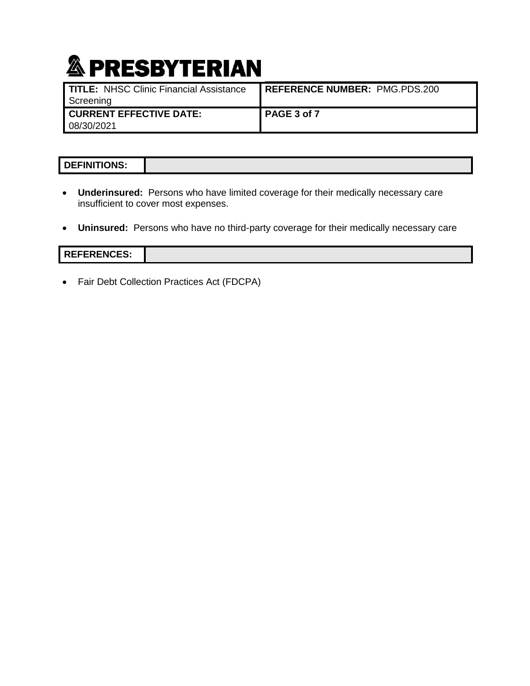| ________________________________                            |                                        |
|-------------------------------------------------------------|----------------------------------------|
| <b>TITLE: NHSC Clinic Financial Assistance</b><br>Screening | <b>I REFERENCE NUMBER: PMG.PDS.200</b> |
| <b>CURRENT EFFECTIVE DATE:</b><br>08/30/2021                | PAGE 3 of 7                            |

#### **DEFINITIONS:**

- **Underinsured:** Persons who have limited coverage for their medically necessary care insufficient to cover most expenses.
- **Uninsured:** Persons who have no third-party coverage for their medically necessary care

#### **REFERENCES:**

• Fair Debt Collection Practices Act (FDCPA)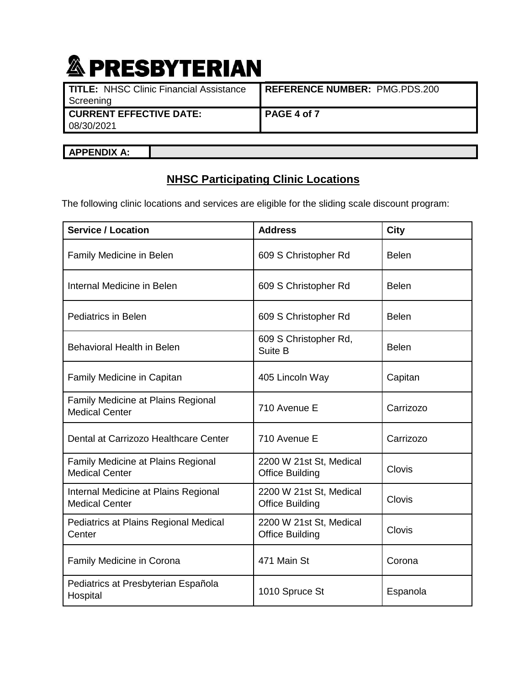| ___                                            |                               |
|------------------------------------------------|-------------------------------|
| <b>TITLE: NHSC Clinic Financial Assistance</b> | REFERENCE NUMBER: PMG.PDS.200 |
| Screening                                      |                               |
| <b>CURRENT EFFECTIVE DATE:</b>                 | PAGE 4 of 7                   |
| 08/30/2021                                     |                               |
|                                                |                               |

**APPENDIX A:** 

#### **NHSC Participating Clinic Locations**

The following clinic locations and services are eligible for the sliding scale discount program:

| <b>Service / Location</b>                                     | <b>Address</b>                                    | City         |
|---------------------------------------------------------------|---------------------------------------------------|--------------|
| Family Medicine in Belen                                      | 609 S Christopher Rd                              | <b>Belen</b> |
| Internal Medicine in Belen                                    | 609 S Christopher Rd                              | <b>Belen</b> |
| <b>Pediatrics in Belen</b>                                    | 609 S Christopher Rd                              | <b>Belen</b> |
| Behavioral Health in Belen                                    | 609 S Christopher Rd,<br>Suite B                  | <b>Belen</b> |
| Family Medicine in Capitan                                    | 405 Lincoln Way                                   | Capitan      |
| Family Medicine at Plains Regional<br><b>Medical Center</b>   | 710 Avenue E                                      | Carrizozo    |
| Dental at Carrizozo Healthcare Center                         | 710 Avenue E                                      | Carrizozo    |
| Family Medicine at Plains Regional<br><b>Medical Center</b>   | 2200 W 21st St, Medical<br><b>Office Building</b> | Clovis       |
| Internal Medicine at Plains Regional<br><b>Medical Center</b> | 2200 W 21st St, Medical<br><b>Office Building</b> | Clovis       |
| Pediatrics at Plains Regional Medical<br>Center               | 2200 W 21st St, Medical<br><b>Office Building</b> | Clovis       |
| Family Medicine in Corona                                     | 471 Main St                                       | Corona       |
| Pediatrics at Presbyterian Española<br>Hospital               | 1010 Spruce St                                    | Espanola     |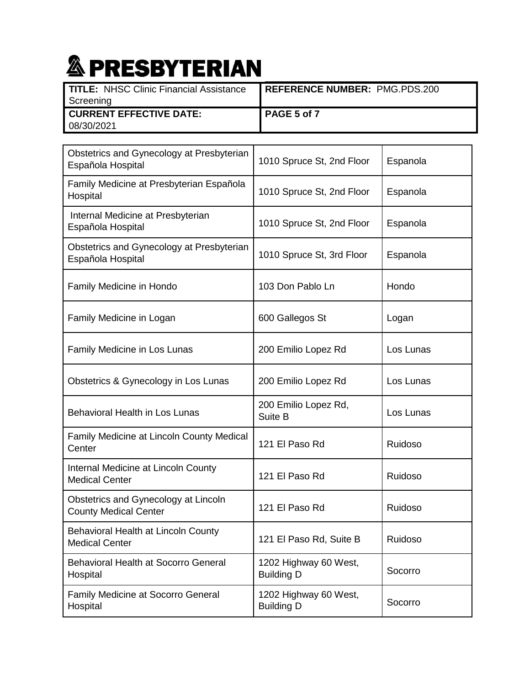| TITLE: NHSC Clinic Financial Assistance | REFERENCE NUMBER: PMG.PDS.200 |
|-----------------------------------------|-------------------------------|
| Screening                               |                               |
| <b>I CURRENT EFFECTIVE DATE:</b>        | PAGE 5 of 7                   |
| 08/30/2021                              |                               |

| Obstetrics and Gynecology at Presbyterian<br>Española Hospital       | 1010 Spruce St, 2nd Floor                  | Espanola  |
|----------------------------------------------------------------------|--------------------------------------------|-----------|
| Family Medicine at Presbyterian Española<br>Hospital                 | 1010 Spruce St, 2nd Floor                  | Espanola  |
| Internal Medicine at Presbyterian<br>Española Hospital               | 1010 Spruce St, 2nd Floor                  | Espanola  |
| Obstetrics and Gynecology at Presbyterian<br>Española Hospital       | 1010 Spruce St, 3rd Floor                  | Espanola  |
| Family Medicine in Hondo                                             | 103 Don Pablo Ln                           | Hondo     |
| Family Medicine in Logan                                             | 600 Gallegos St                            | Logan     |
| Family Medicine in Los Lunas                                         | 200 Emilio Lopez Rd                        | Los Lunas |
| Obstetrics & Gynecology in Los Lunas                                 | 200 Emilio Lopez Rd                        | Los Lunas |
| <b>Behavioral Health in Los Lunas</b>                                | 200 Emilio Lopez Rd,<br>Suite B            | Los Lunas |
| Family Medicine at Lincoln County Medical<br>Center                  | 121 El Paso Rd                             | Ruidoso   |
| Internal Medicine at Lincoln County<br><b>Medical Center</b>         | 121 El Paso Rd                             | Ruidoso   |
| Obstetrics and Gynecology at Lincoln<br><b>County Medical Center</b> | 121 El Paso Rd                             | Ruidoso   |
| Behavioral Health at Lincoln County<br><b>Medical Center</b>         | 121 El Paso Rd, Suite B                    | Ruidoso   |
| <b>Behavioral Health at Socorro General</b><br>Hospital              | 1202 Highway 60 West,<br><b>Building D</b> | Socorro   |
| <b>Family Medicine at Socorro General</b><br>Hospital                | 1202 Highway 60 West,<br><b>Building D</b> | Socorro   |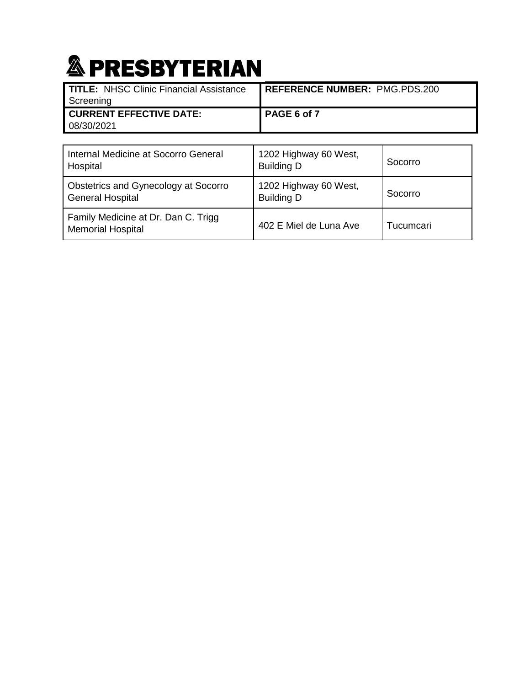| TITLE: NHSC Clinic Financial Assistance<br>Screening | <b>REFERENCE NUMBER: PMG.PDS.200</b> |
|------------------------------------------------------|--------------------------------------|
| <b>I CURRENT EFFECTIVE DATE:</b><br>08/30/2021       | PAGE 6 of 7                          |

| Internal Medicine at Socorro General<br>Hospital                | 1202 Highway 60 West,<br><b>Building D</b> | Socorro   |
|-----------------------------------------------------------------|--------------------------------------------|-----------|
| Obstetrics and Gynecology at Socorro<br><b>General Hospital</b> | 1202 Highway 60 West,<br><b>Building D</b> | Socorro   |
| Family Medicine at Dr. Dan C. Trigg<br><b>Memorial Hospital</b> | 402 E Miel de Luna Ave                     | Tucumcari |